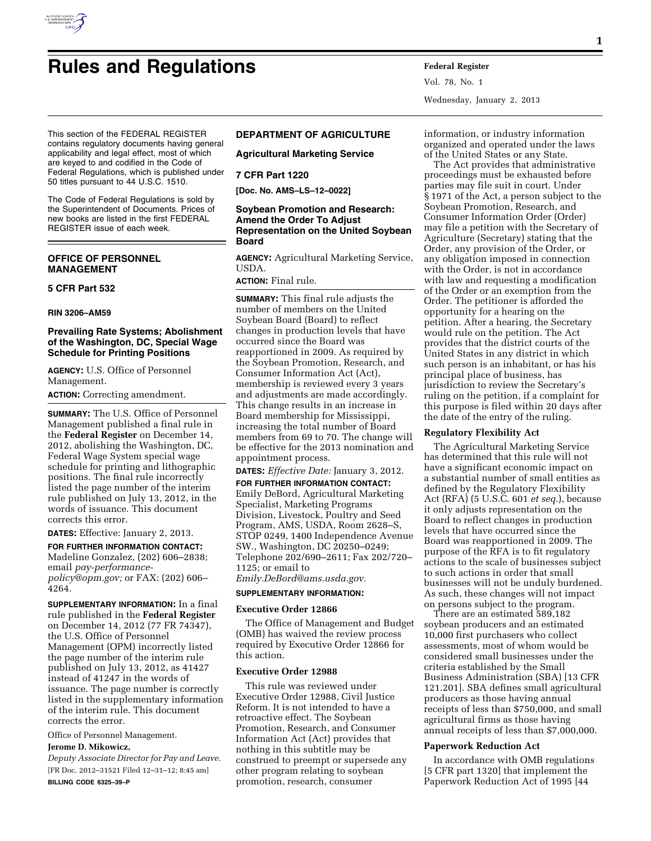

Vol. 78, No. 1 Wednesday, January 2, 2013

This section of the FEDERAL REGISTER contains regulatory documents having general applicability and legal effect, most of which are keyed to and codified in the Code of Federal Regulations, which is published under 50 titles pursuant to 44 U.S.C. 1510.

The Code of Federal Regulations is sold by the Superintendent of Documents. Prices of new books are listed in the first FEDERAL REGISTER issue of each week.

## **OFFICE OF PERSONNEL MANAGEMENT**

#### **5 CFR Part 532**

#### **RIN 3206–AM59**

## **Prevailing Rate Systems; Abolishment of the Washington, DC, Special Wage Schedule for Printing Positions**

**AGENCY:** U.S. Office of Personnel Management.

**ACTION:** Correcting amendment.

**SUMMARY:** The U.S. Office of Personnel Management published a final rule in the **Federal Register** on December 14, 2012, abolishing the Washington, DC, Federal Wage System special wage schedule for printing and lithographic positions. The final rule incorrectly listed the page number of the interim rule published on July 13, 2012, in the words of issuance. This document corrects this error.

**DATES:** Effective: January 2, 2013.

**FOR FURTHER INFORMATION CONTACT:**  Madeline Gonzalez, (202) 606–2838; email *[pay-performance](mailto:pay-performance-policy@opm.gov)[policy@opm.gov;](mailto:pay-performance-policy@opm.gov)* or FAX: (202) 606– 4264.

**SUPPLEMENTARY INFORMATION:** In a final rule published in the **Federal Register**  on December 14, 2012 (77 FR 74347), the U.S. Office of Personnel Management (OPM) incorrectly listed the page number of the interim rule published on July 13, 2012, as 41427 instead of 41247 in the words of issuance. The page number is correctly listed in the supplementary information of the interim rule. This document corrects the error.

Office of Personnel Management. **Jerome D. Mikowicz,** 

*Deputy Associate Director for Pay and Leave.*  [FR Doc. 2012–31521 Filed 12–31–12; 8:45 am] **BILLING CODE 6325–39–P** 

# **DEPARTMENT OF AGRICULTURE**

**Agricultural Marketing Service** 

#### **7 CFR Part 1220**

**[Doc. No. AMS–LS–12–0022]** 

## **Soybean Promotion and Research: Amend the Order To Adjust Representation on the United Soybean Board**

**AGENCY:** Agricultural Marketing Service, USDA.

**ACTION:** Final rule.

**SUMMARY:** This final rule adjusts the number of members on the United Soybean Board (Board) to reflect changes in production levels that have occurred since the Board was reapportioned in 2009. As required by the Soybean Promotion, Research, and Consumer Information Act (Act), membership is reviewed every 3 years and adjustments are made accordingly. This change results in an increase in Board membership for Mississippi, increasing the total number of Board members from 69 to 70. The change will be effective for the 2013 nomination and appointment process.

**DATES:** *Effective Date:* January 3, 2012.

**FOR FURTHER INFORMATION CONTACT:**  Emily DeBord, Agricultural Marketing Specialist, Marketing Programs Division, Livestock, Poultry and Seed Program, AMS, USDA, Room 2628–S, STOP 0249, 1400 Independence Avenue SW., Washington, DC 20250–0249; Telephone 202/690–2611; Fax 202/720– 1125; or email to *[Emily.DeBord@ams.usda.gov.](mailto:Emily.DeBord@ams.usda.gov)* 

**SUPPLEMENTARY INFORMATION:** 

## **Executive Order 12866**

The Office of Management and Budget (OMB) has waived the review process required by Executive Order 12866 for this action.

### **Executive Order 12988**

This rule was reviewed under Executive Order 12988, Civil Justice Reform. It is not intended to have a retroactive effect. The Soybean Promotion, Research, and Consumer Information Act (Act) provides that nothing in this subtitle may be construed to preempt or supersede any other program relating to soybean promotion, research, consumer

information, or industry information organized and operated under the laws of the United States or any State.

The Act provides that administrative proceedings must be exhausted before parties may file suit in court. Under § 1971 of the Act, a person subject to the Soybean Promotion, Research, and Consumer Information Order (Order) may file a petition with the Secretary of Agriculture (Secretary) stating that the Order, any provision of the Order, or any obligation imposed in connection with the Order, is not in accordance with law and requesting a modification of the Order or an exemption from the Order. The petitioner is afforded the opportunity for a hearing on the petition. After a hearing, the Secretary would rule on the petition. The Act provides that the district courts of the United States in any district in which such person is an inhabitant, or has his principal place of business, has jurisdiction to review the Secretary's ruling on the petition, if a complaint for this purpose is filed within 20 days after the date of the entry of the ruling.

### **Regulatory Flexibility Act**

The Agricultural Marketing Service has determined that this rule will not have a significant economic impact on a substantial number of small entities as defined by the Regulatory Flexibility Act (RFA) (5 U.S.C. 601 *et seq.*), because it only adjusts representation on the Board to reflect changes in production levels that have occurred since the Board was reapportioned in 2009. The purpose of the RFA is to fit regulatory actions to the scale of businesses subject to such actions in order that small businesses will not be unduly burdened. As such, these changes will not impact on persons subject to the program.

There are an estimated 589,182 soybean producers and an estimated 10,000 first purchasers who collect assessments, most of whom would be considered small businesses under the criteria established by the Small Business Administration (SBA) [13 CFR 121.201]. SBA defines small agricultural producers as those having annual receipts of less than \$750,000, and small agricultural firms as those having annual receipts of less than \$7,000,000.

### **Paperwork Reduction Act**

In accordance with OMB regulations [5 CFR part 1320] that implement the Paperwork Reduction Act of 1995 [44